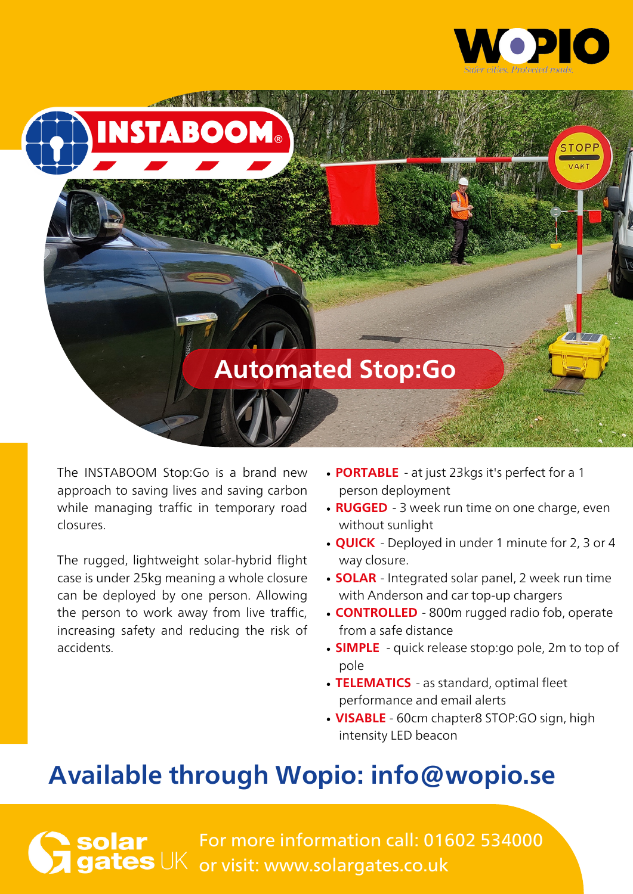



The INSTABOOM Stop:Go is a brand new approach to saving lives and saving carbon while managing traffic in temporary road closures.

The rugged, lightweight solar-hybrid flight case is under 25kg meaning a whole closure can be deployed by one person. Allowing the person to work away from live traffic, increasing safety and reducing the risk of accidents.

- **PORTABLE** at just 23kgs it's perfect for a 1 person deployment
- **RUGGED** 3 week run time on one charge, even without sunlight
- **QUICK** Deployed in under 1 minute for 2, 3 or 4 way closure.
- **SOLAR** Integrated solar panel, 2 week run time with Anderson and car top-up chargers
- **CONTROLLED** 800m rugged radio fob, operate from a safe distance
- **SIMPLE** quick release stop:go pole, 2m to top of pole
- TELEMATICS as standard, optimal fleet performance and email alerts
- **VISABLE** 60cm chapter8 STOP:GO sign, high intensity LED beacon

## Available through Wopio: [info@wopio.se](mailto:info@wopio.se)

For more information call: 01602 534000 **S**UK or visit: www.solargates.co.uk